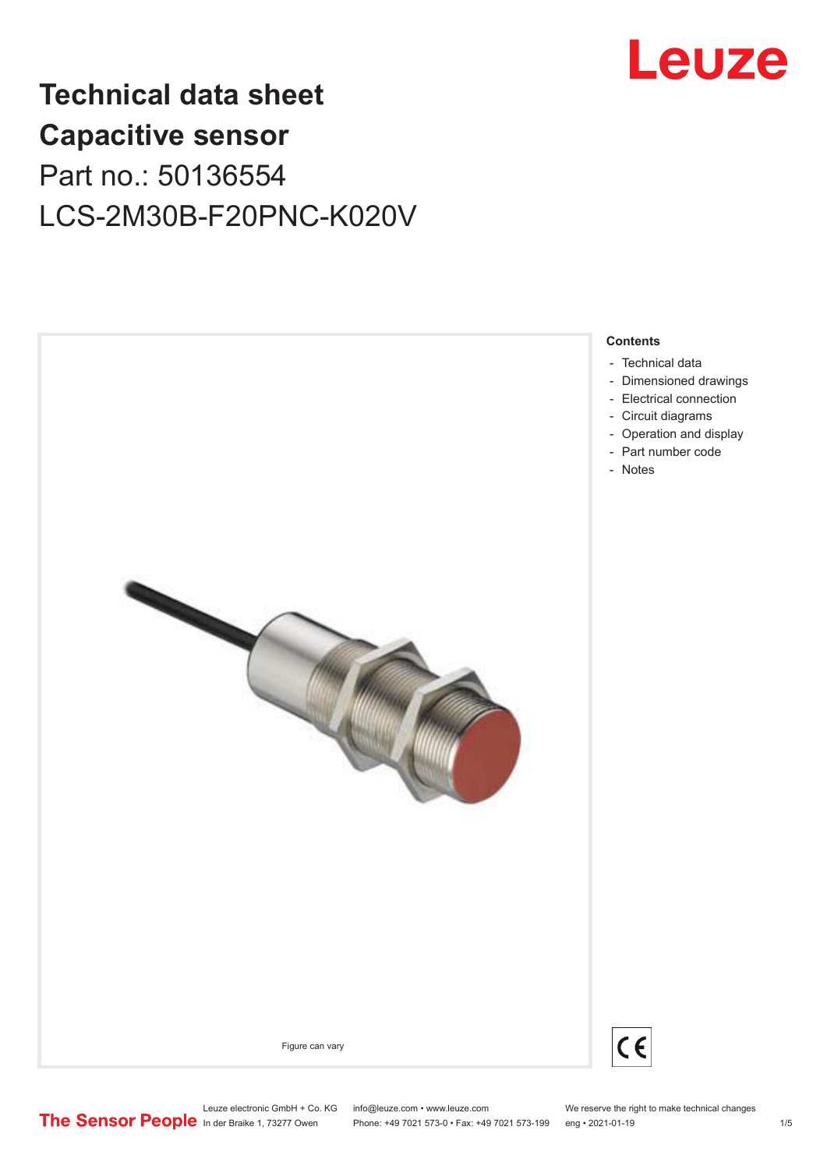

## **Technical data sheet Capacitive sensor** Part no.: 50136554 LCS-2M30B-F20PNC-K020V



Leuze electronic GmbH + Co. KG info@leuze.com • www.leuze.com We reserve the right to make technical changes<br>
The Sensor People in der Braike 1, 73277 Owen Phone: +49 7021 573-0 • Fax: +49 7021 573-199 eng • 2021-01-19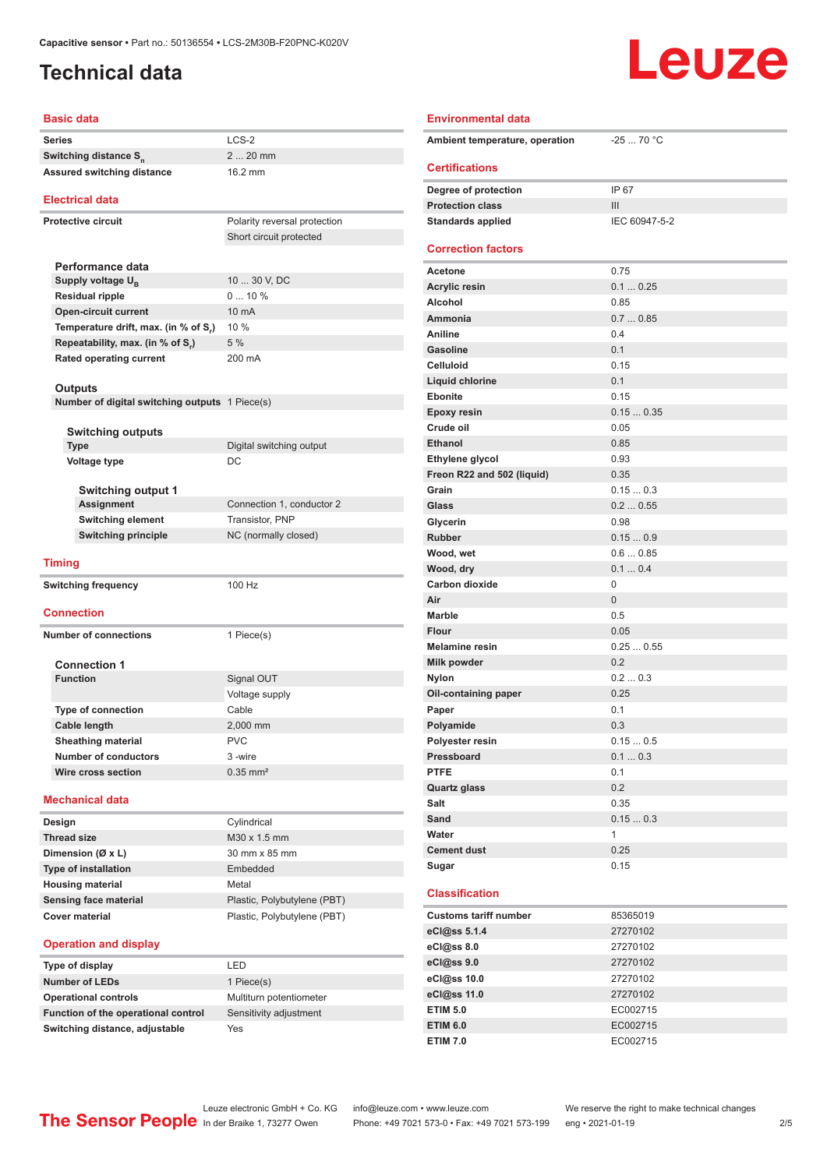## <span id="page-1-0"></span>**Technical data**

# Leuze

#### **Basic data**

| <b>Basic data</b>                                                |                              | <b>Environmental data</b>    |
|------------------------------------------------------------------|------------------------------|------------------------------|
| <b>Series</b>                                                    | $LCS-2$                      | Ambient temperature,         |
| Switching distance S <sub>n</sub>                                | $220$ mm                     |                              |
| <b>Assured switching distance</b>                                | 16.2 mm                      | <b>Certifications</b>        |
| <b>Electrical data</b>                                           |                              | Degree of protection         |
|                                                                  |                              | <b>Protection class</b>      |
| <b>Protective circuit</b>                                        | Polarity reversal protection | <b>Standards applied</b>     |
|                                                                  | Short circuit protected      | <b>Correction factors</b>    |
| Performance data                                                 |                              | <b>Acetone</b>               |
| Supply voltage $U_{\rm B}$                                       | 10  30 V, DC                 | <b>Acrylic resin</b>         |
| <b>Residual ripple</b>                                           | $010\%$                      | Alcohol                      |
| <b>Open-circuit current</b>                                      | 10 mA                        | Ammonia                      |
| Temperature drift, max. (in % of S.)                             | 10 %                         | Aniline                      |
| Repeatability, max. (in % of S.)                                 | 5 %                          | <b>Gasoline</b>              |
| <b>Rated operating current</b>                                   | 200 mA                       | <b>Celluloid</b>             |
|                                                                  |                              | Liquid chlorine              |
| <b>Outputs</b><br>Number of digital switching outputs 1 Piece(s) |                              | <b>Ebonite</b>               |
|                                                                  |                              | <b>Epoxy resin</b>           |
| <b>Switching outputs</b>                                         |                              | Crude oil                    |
| <b>Type</b>                                                      | Digital switching output     | <b>Ethanol</b>               |
| Voltage type                                                     | DC                           | Ethylene glycol              |
|                                                                  |                              | Freon R22 and 502 (liq       |
| <b>Switching output 1</b>                                        |                              | Grain                        |
| <b>Assignment</b>                                                | Connection 1, conductor 2    | Glass                        |
| <b>Switching element</b>                                         | <b>Transistor, PNP</b>       | Glycerin                     |
| <b>Switching principle</b>                                       | NC (normally closed)         | <b>Rubber</b>                |
|                                                                  |                              | Wood, wet                    |
| Timing                                                           |                              | Wood, dry                    |
| <b>Switching frequency</b>                                       | 100 Hz                       | <b>Carbon dioxide</b>        |
|                                                                  |                              | Air                          |
| <b>Connection</b>                                                |                              | <b>Marble</b>                |
| <b>Number of connections</b>                                     | 1 Piece(s)                   | Flour                        |
|                                                                  |                              | <b>Melamine resin</b>        |
| <b>Connection 1</b>                                              |                              | Milk powder                  |
| <b>Function</b>                                                  | Signal OUT                   | <b>Nylon</b>                 |
|                                                                  | Voltage supply               | Oil-containing paper         |
| Type of connection                                               | Cable                        | Paper                        |
| Cable length                                                     | 2.000 mm                     | Polyamide                    |
| <b>Sheathing material</b>                                        | <b>PVC</b>                   | Polyester resin              |
| <b>Number of conductors</b>                                      | 3-wire                       | Pressboard                   |
| Wire cross section                                               | $0.35$ mm <sup>2</sup>       | <b>PTFE</b>                  |
|                                                                  |                              | <b>Quartz glass</b>          |
| <b>Mechanical data</b>                                           |                              | Salt                         |
| Design                                                           | Cylindrical                  | Sand                         |
| <b>Thread size</b>                                               | M30 x 1.5 mm                 | Water                        |
| Dimension (Ø x L)                                                | 30 mm x 85 mm                | <b>Cement dust</b>           |
| <b>Type of installation</b>                                      | Embedded                     | Sugar                        |
| <b>Housing material</b>                                          | Metal                        |                              |
| <b>Sensing face material</b>                                     | Plastic, Polybutylene (PBT)  | <b>Classification</b>        |
| <b>Cover material</b>                                            | Plastic, Polybutylene (PBT)  | <b>Customs tariff number</b> |
|                                                                  |                              | eCl@ss 5.1.4                 |
| <b>Operation and display</b>                                     |                              | eCl@ss 8.0                   |
| Type of display                                                  | LED                          | eCl@ss 9.0                   |

| Ambient temperature, operation | $-2570 °C$      |
|--------------------------------|-----------------|
| <b>Certifications</b>          |                 |
| Degree of protection           | IP 67           |
| <b>Protection class</b>        | III             |
| <b>Standards applied</b>       | IEC 60947-5-2   |
| <b>Correction factors</b>      |                 |
| Acetone                        | 0.75            |
| <b>Acrylic resin</b>           | 0.10.25         |
| <b>Alcohol</b>                 | 0.85            |
| Ammonia                        | 0.70.85         |
| Aniline                        | 0.4             |
| <b>Gasoline</b>                | 0.1             |
| <b>Celluloid</b>               | 0.15            |
| <b>Liquid chlorine</b>         | 0.1             |
| Ebonite                        | 0.15            |
| <b>Epoxy resin</b>             | 0.150.35        |
| Crude oil                      | 0.05            |
| <b>Ethanol</b>                 | 0.85            |
| Ethylene glycol                | 0.93            |
| Freon R22 and 502 (liquid)     | 0.35            |
| Grain                          | 0.150.3         |
| Glass                          | 0.20.55         |
| Glycerin                       | 0.98<br>0.150.9 |
| <b>Rubber</b>                  | 0.60.85         |
| Wood, wet<br>Wood, dry         | 0.10.4          |
| <b>Carbon dioxide</b>          | 0               |
| Air                            | $\overline{0}$  |
| <b>Marble</b>                  | 0.5             |
| Flour                          | 0.05            |
| <b>Melamine resin</b>          | 0.250.55        |
| <b>Milk powder</b>             | 0.2             |
| <b>Nylon</b>                   | 0.20.3          |
| Oil-containing paper           | 0.25            |
| Paper                          | 0.1             |
| Polyamide                      | 0.3             |
| Polyester resin                | 0.150.5         |
| Pressboard                     | 0.10.3          |
| <b>PTFE</b>                    | 0.1             |
| <b>Quartz glass</b>            | 0.2             |
| Salt                           | 0.35            |
| Sand                           | 0.150.3         |
| Water                          | 1               |
| <b>Cement dust</b>             | 0.25            |
| Sugar                          | 0.15            |
| <b>Classification</b>          |                 |
| <b>Customs tariff number</b>   | 85365019        |
| eCl@ss 5.1.4                   | 27270102        |
| eCl@ss 8.0                     | 27270102        |
| eCl@ss 9.0                     | 27270102        |
| eCl@ss 10.0                    | 27270102        |
| eCl@ss 11.0                    | 27270102        |
| <b>ETIM 5.0</b>                | EC002715        |

**Operational controls** Multiturn potentiometer **Function of the operational control** Sensitivity adjustment

**Number of LEDs** 1 Piece(s)

**Switching distance, adjustable** Yes

Leuze electronic GmbH + Co. KG info@leuze.com • www.leuze.com We reserve the right to make technical changes<br>
The Sensor People in der Braike 1, 73277 Owen Phone: +49 7021 573-0 • Fax: +49 7021 573-199 eng • 2021-01-19 Phone: +49 7021 573-0 • Fax: +49 7021 573-199 eng • 2021-01-19

**ETIM 6.0** EC002715 **ETIM 7.0** EC002715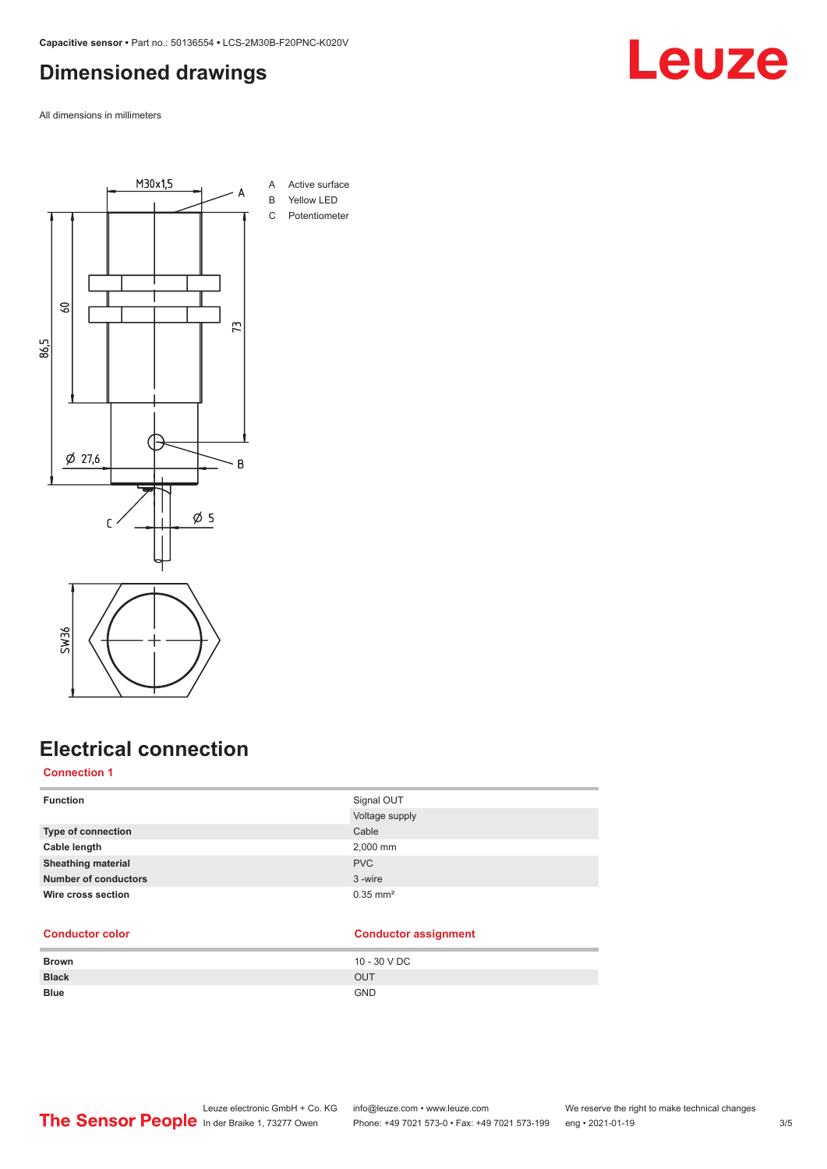## <span id="page-2-0"></span>**Dimensioned drawings**

All dimensions in millimeters



## **Electrical connection**

### **Connection 1**

| <b>Function</b>             | Signal OUT             |
|-----------------------------|------------------------|
|                             | Voltage supply         |
| <b>Type of connection</b>   | Cable                  |
| Cable length                | 2,000 mm               |
| <b>Sheathing material</b>   | <b>PVC</b>             |
| <b>Number of conductors</b> | 3-wire                 |
| Wire cross section          | $0.35$ mm <sup>2</sup> |
|                             |                        |

#### **Conductor color Conductor assignment**

| <b>Brown</b> | 10 - 30 V DC |
|--------------|--------------|
| <b>Black</b> | OUT          |
| <b>Blue</b>  | <b>GND</b>   |

## **Leuze**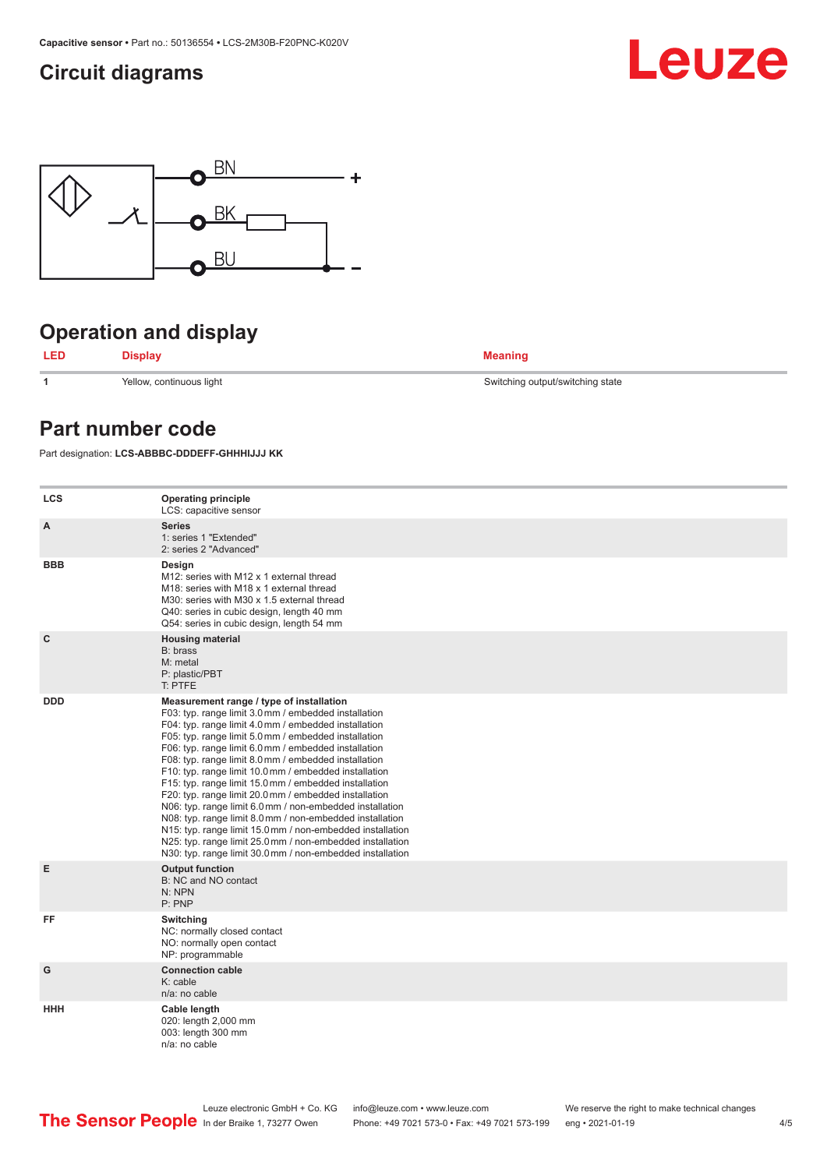## <span id="page-3-0"></span>**Circuit diagrams**





## **Operation and display**



**1** Yellow, continuous light Switching output/switching state

### **Part number code**

Part designation: **LCS-ABBBC-DDDEFF-GHHHIJJJ KK**

| <b>LCS</b>  | <b>Operating principle</b><br>LCS: capacitive sensor                                                                                                                                                                                                                                                                                                                                                                                                                                                                                                                                                                                                                                                                                                                                                                       |
|-------------|----------------------------------------------------------------------------------------------------------------------------------------------------------------------------------------------------------------------------------------------------------------------------------------------------------------------------------------------------------------------------------------------------------------------------------------------------------------------------------------------------------------------------------------------------------------------------------------------------------------------------------------------------------------------------------------------------------------------------------------------------------------------------------------------------------------------------|
| A           | <b>Series</b><br>1: series 1 "Extended"<br>2: series 2 "Advanced"                                                                                                                                                                                                                                                                                                                                                                                                                                                                                                                                                                                                                                                                                                                                                          |
| <b>BBB</b>  | Design<br>M12: series with M12 x 1 external thread<br>M18: series with M18 x 1 external thread<br>M30: series with M30 x 1.5 external thread<br>Q40: series in cubic design, length 40 mm<br>Q54: series in cubic design, length 54 mm                                                                                                                                                                                                                                                                                                                                                                                                                                                                                                                                                                                     |
| $\mathbf c$ | <b>Housing material</b><br>B: brass<br>M: metal<br>P: plastic/PBT<br>T: PTFE                                                                                                                                                                                                                                                                                                                                                                                                                                                                                                                                                                                                                                                                                                                                               |
| <b>DDD</b>  | Measurement range / type of installation<br>F03: typ. range limit 3.0 mm / embedded installation<br>F04: typ. range limit 4.0 mm / embedded installation<br>F05: typ. range limit 5.0 mm / embedded installation<br>F06: typ. range limit 6.0 mm / embedded installation<br>F08: typ. range limit 8.0 mm / embedded installation<br>F10: typ. range limit 10.0 mm / embedded installation<br>F15: typ. range limit 15.0 mm / embedded installation<br>F20: typ. range limit 20.0 mm / embedded installation<br>N06: typ. range limit 6.0 mm / non-embedded installation<br>N08: typ. range limit 8.0 mm / non-embedded installation<br>N15: typ. range limit 15.0 mm / non-embedded installation<br>N25: typ. range limit 25.0 mm / non-embedded installation<br>N30: typ. range limit 30.0 mm / non-embedded installation |
| E           | <b>Output function</b><br>B: NC and NO contact<br>N: NPN<br>P: PNP                                                                                                                                                                                                                                                                                                                                                                                                                                                                                                                                                                                                                                                                                                                                                         |
| FF          | Switching<br>NC: normally closed contact<br>NO: normally open contact<br>NP: programmable                                                                                                                                                                                                                                                                                                                                                                                                                                                                                                                                                                                                                                                                                                                                  |
| G           | <b>Connection cable</b><br>K: cable<br>n/a: no cable                                                                                                                                                                                                                                                                                                                                                                                                                                                                                                                                                                                                                                                                                                                                                                       |
| <b>HHH</b>  | Cable length<br>020: length 2,000 mm<br>003: length 300 mm<br>n/a: no cable                                                                                                                                                                                                                                                                                                                                                                                                                                                                                                                                                                                                                                                                                                                                                |